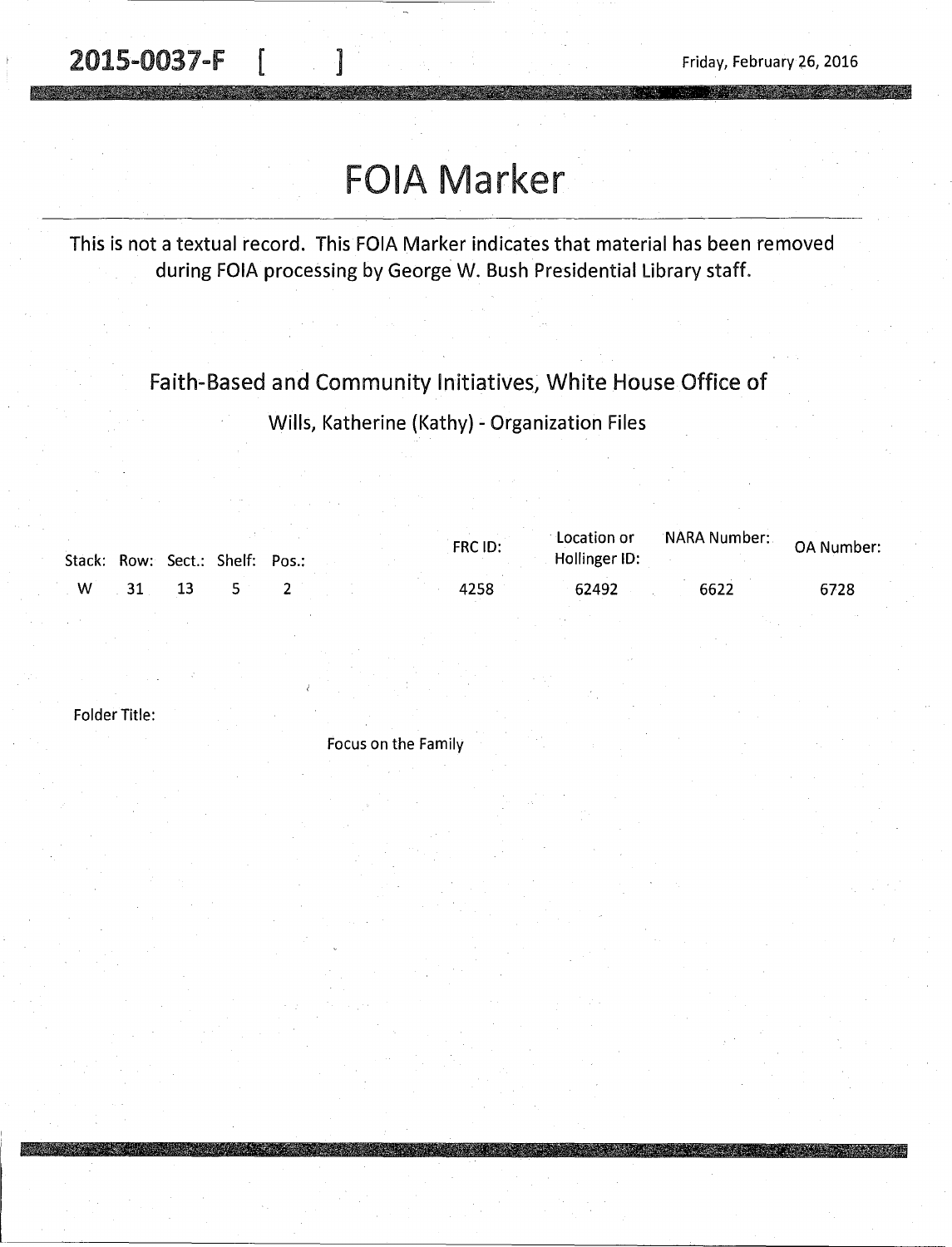2015-0037-F | 1

**RESIDENTS WAS SERVED** 

## FOIA Marker

This is not a textual record. This FOIA Marker indicates that material has been removed during FOIA processing by George W. Bush Presidential Library staff.

Faith-Based and Community Initiatives, White House Office of

Wills, Katherine (Kathy) - Organization Files

|          |    | Stack: Row: Sect.: Shelf: Pos.: |  | FRC ID: | Location or<br>Hollinger ID: |      |      |
|----------|----|---------------------------------|--|---------|------------------------------|------|------|
| <b>W</b> | 31 |                                 |  | 4258    | 62492                        | 6622 | 6728 |

Folder Title:

Focus on the Family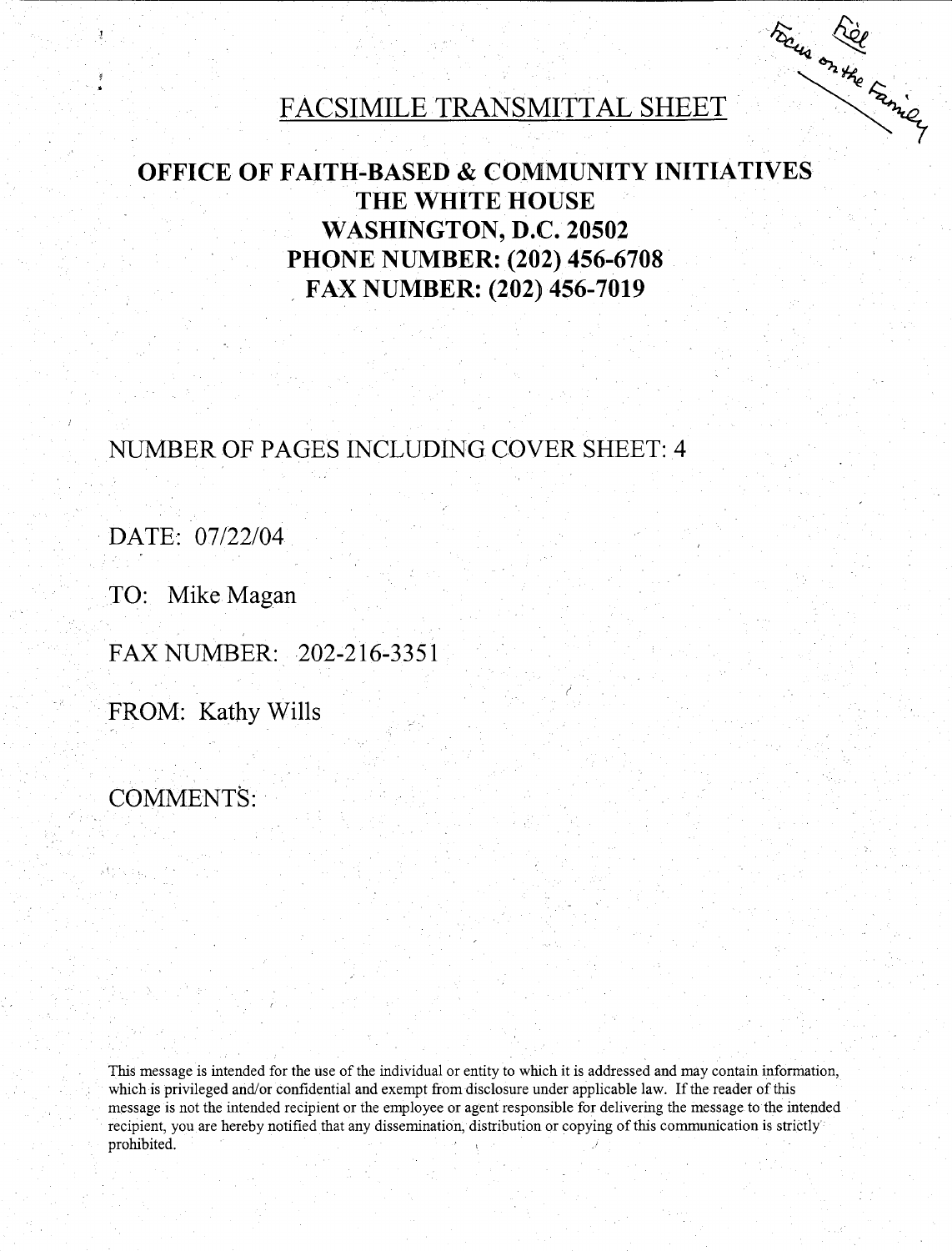# FACSIMILE TRANSMITTAL SHEET

Focus Rice

#### **OFFICE OF FAITH-BASED & COMMUNITY INITIATIVES THE WHITE HOUSE WASHINGTON, D.C. 20502 PHONE NUMBER: (202) 456-6708**  . **FAX NUMBER: (202) 456-7019**

#### **NUMBER OF PAGES INCLUDING COVER SHEET: 4**

**DATE: 07/22/04** 

**TO: Mike Magan** 

**FAXNUMBER: 202-216-3351** 

**FROM: Kathy Wills** 

**COMMENTS:** 

This message is intended for the use of the individual or entity to which it is addressed and may contain information, which is privileged and/or confidential and exempt from disclosure under applicable law. If the reader of this message is not the intended recipient or the employee or agent responsible for delivering the message to the intended recipient, you are hereby notified that any dissemination, distribution or copying of this communication is strictly prohibited.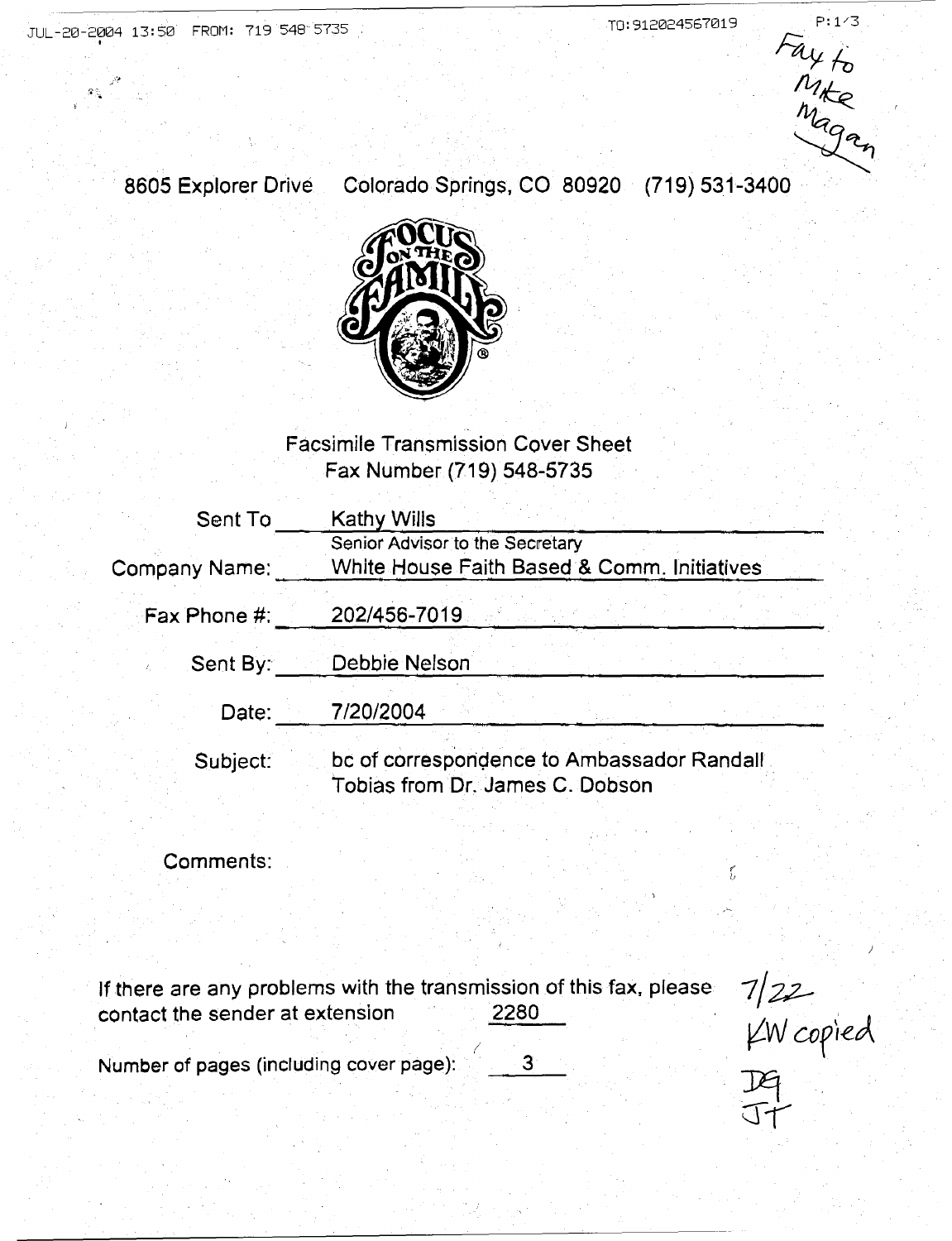$ra_{4f_0}$  $\sqrt{2}$ Maga

)

 $H$ J+

8605 Explorer Drive Colorado Springs, CO 80920 (719) 531-3400 ~



#### Facsimile Transmission Cover Sheet Fax Number (719) 548-5735

| Sent To       | Kathy Wills                                                                    |  |  |  |  |  |
|---------------|--------------------------------------------------------------------------------|--|--|--|--|--|
| Company Name: | Senior Advisor to the Secretary<br>White House Faith Based & Comm. Initiatives |  |  |  |  |  |
| Fax Phone #:  | 202/456-7019                                                                   |  |  |  |  |  |
| Sent By:      | Debbie Nelson                                                                  |  |  |  |  |  |
| Date:         | 7/20/2004                                                                      |  |  |  |  |  |
| Subject:      | bc of correspondence to Ambassador Randall<br>Tobias from Dr. James C. Dobson  |  |  |  |  |  |

Comments:

| If there are any problems with the transmission of this fax, please<br>contact the sender at extension<br>2280 | 7122        |
|----------------------------------------------------------------------------------------------------------------|-------------|
| Number of pages (including cover page):                                                                        | $KN$ copied |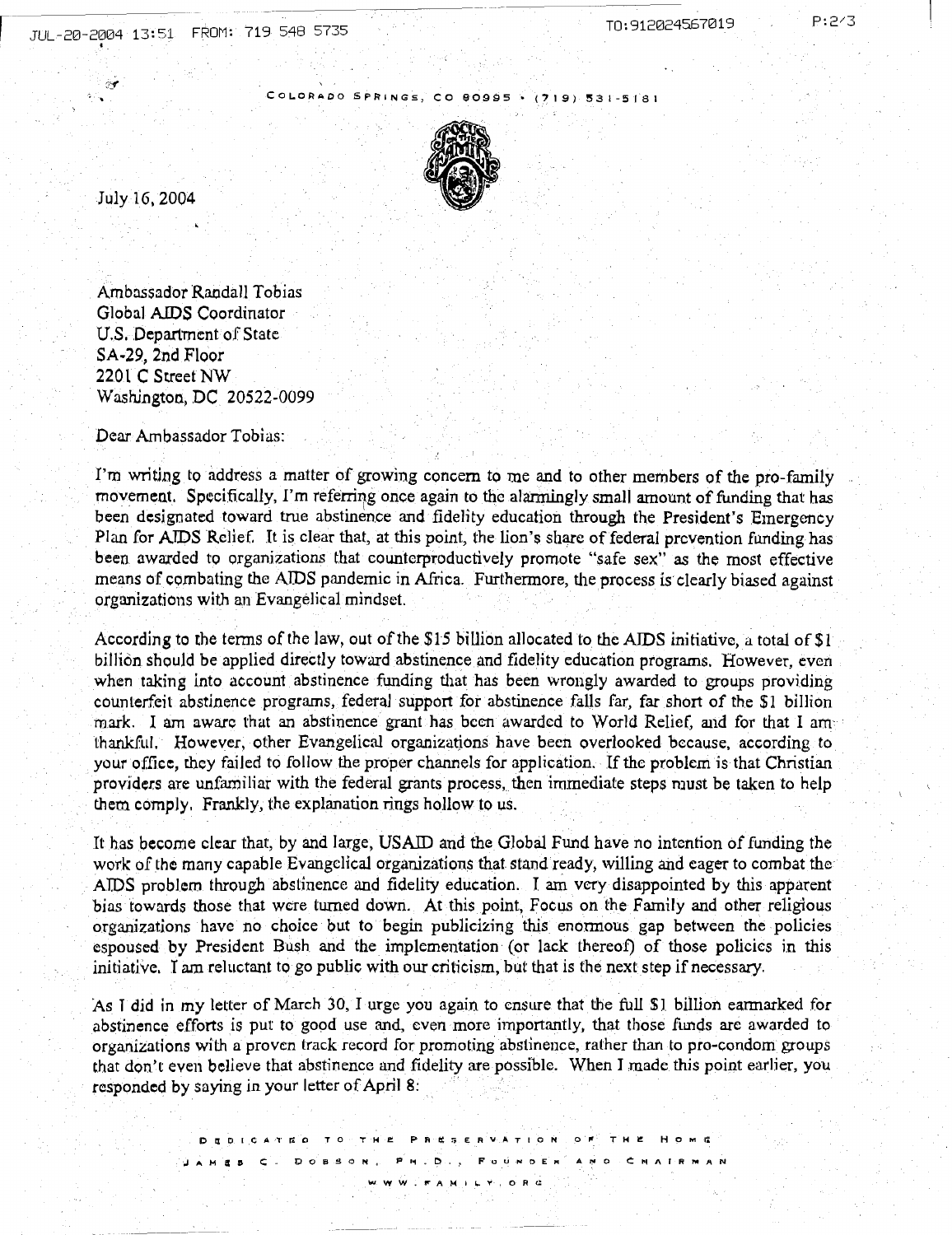P:243

COLORADO SPRINGS, CO 80995 · (719) 531-5181



July 16, 2004

I

 $\tilde{C}$ 

Ambo.ssador Randall Tobias Global AIDS Coordinator U.S. Department of State SA·29, 2nd Floor 2201 C Street NW Washington, DC 20522-0099

Dear Ambassador Tobias:

I'm writing to address a matter of growing concern to me and to other members of the pro-family movement. Specifically, I'm referring once again to the alarmingly small amount of funding that has been designated toward true abstinence and fidelity education through the President's Emergency Plan for AIDS Relief. It is clear that, at this point, the lion's share of federal prevention funding has been awarded to organizations that countcrproductively promote "safe sex" *as* the most effective means of combating the AIDS pandemic in Africa. Furthermore, the process is clearly biased against organizations with an Evangelical mindset.

According to the terms of the law, out of the \$15 billion allocated to the AIDS initiative, a total of  $$1$ billion should be applied directly toward abstinence and fidelity education programs. However, even when taking into account abstinence funding that has been wrongly awarded to groups providing counterfeit abstinence programs, federal support for abstinence falls far, far short of the \$1 billion mark. I am aware that an abstinence grant has been awarded to World Relief, and for that I amthankful. However, other Evangelical organizatjons have been overlooked because, according to your office, they failed to follow the proper channels for application. If the problem is that Christian providers are unfamiliar with the federal grants process, then immediate steps must be taken to help them comply. Frankly, the explanation rings hollow to us.

It has become clear that, by and large, USAID and the Global Fund have no intention of funding the work of the many capable Evangelical organizations that stand ready, willing and eager to combat the AIDS problem through abstinence and fidelity education. I am very disappointed by this apparent bias towards those that were turned down. At this point, Focus on the Family and other religious organizations have no choice but to begin publicizing this enormous gap between the policies espoused by President Bush and the implementation (or lack thereof) of those policies in this initiative. I am reluctant to go public with our criticism, but that is the next step if necessary.

As I did in my letter of March 30, I urge you again to ensure that the full \$1 billion earmarked for abstinence efforts is put to good use and, even more importantly, that those funds are awarded to organizations with a proven track record for promoting abstinence, rather than to pro-condom groups that don't even believe that abstinence and fidelity are possible. When I made this point earlier, you responded by saying in your letter of April 8: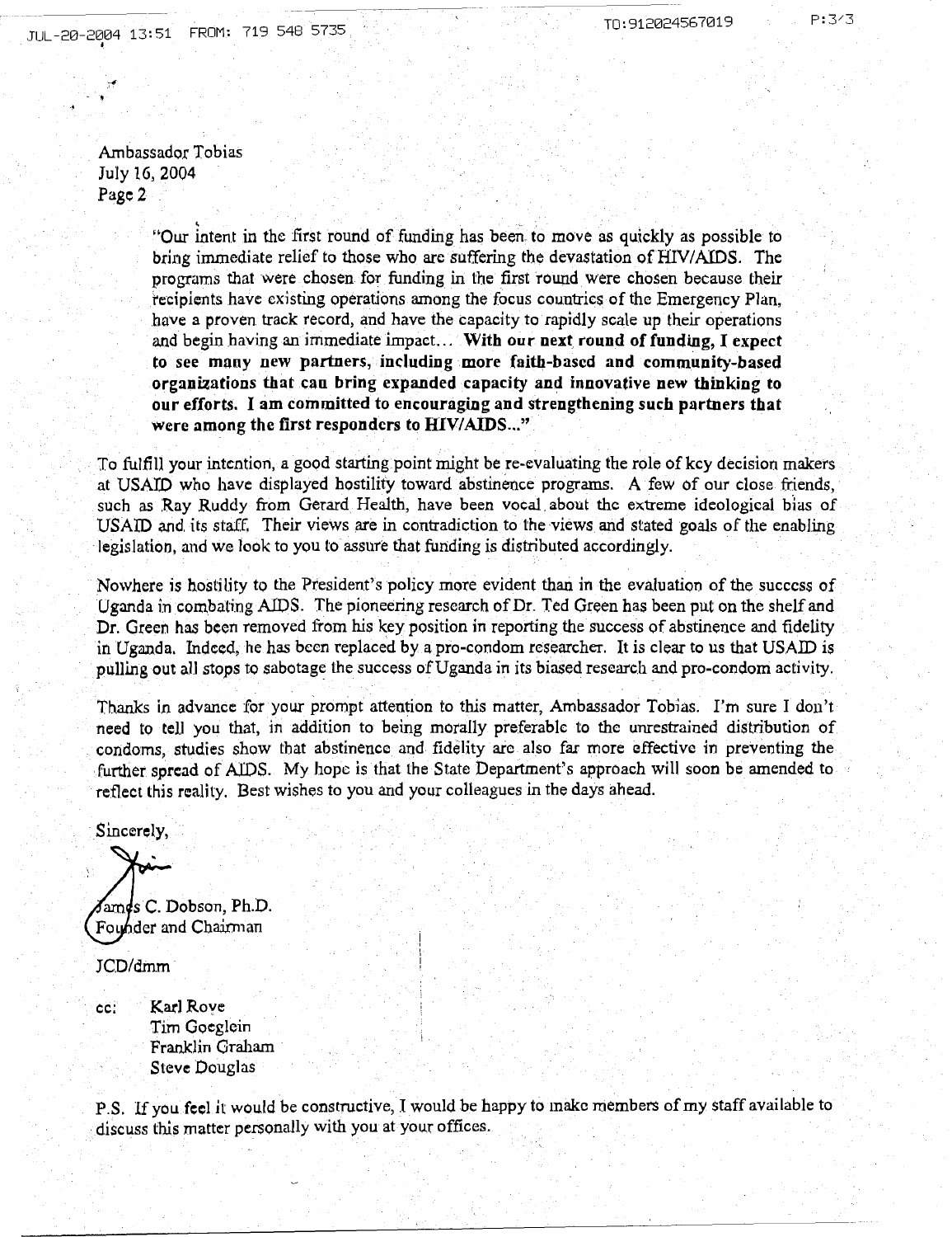. Ambassador Tobias July 16, 2004 Page2

.,

"Our intent in the first round of funding has been to move as quickly as possible to bring immediate relief to those who are suffering the devastation of HIV/AIDS. The programs that were chosen for funding in the first round were chosen because their recipients have existing operations among the focus countries of the Emergency Plan, have a proven track record, and have the capacity to rapidly scale up their operations and begin having an immediate impact... With our next round of funding, I expect to see many new partners, including more faith-based and community-based organizations that can bring expanded capacity and innovative new thinking to our efforts. I am committed to encouraging and strengthening such partners that were among the first responders to HIV/AIDS..."

To fulfill your intention, a good starting point might be re-evaluating the role of key decision makers at USATD who have displayed hostility toward abstinence programs. A few of our close friends, such as Ray Ruddy from Gerard Health, have been vocal about the extreme ideological bias of USAID and. its staff. Their views are in contradiction to the views and stated goals of the enabling legislation, and we look to you to assure that funding is distributed accordingly.

Nowhere 1s hostility to the President's policy mote evident than in the evaluation of the success of Uganda in combating AIDS. The pioneering research of Dr. Ted Green has been put on the shelf and Dr. Green has been removed from his key position in reporting the success of abstinence and fidelity in Uganda. Indeed, he has been replaced by a pro-condom researcher. It is clear to us that USAID is pulling out all stops to sabotage the success of Uganda in its biased research and pro-condom activity.

Thanks in advance for your prompt attention to this matter, Ambassador Tobias. I'm sure I don't need to tell you that, in addition to being morally preferable to the unrestrained distribution of condoms, studies show that abstinence and fidelity are also far more effective in preventing the . further spread of AIDS. My hope is that the State Department's approach will soon be amended to reflect this reality. Best wishes to you and your colleagues in the days ahead.

Sincerely,

 $\mathcal{S}$ ames C. Dobson, Ph.D. Founder and Chairman

JCD/dmm

cc: Karl Rove Tim Goeglcin Franklin Graham Steve Douglas

p .S. If you feel it would be constructive, I would be happy to make members of my staff available to discuss this matter personally with you at your offices.